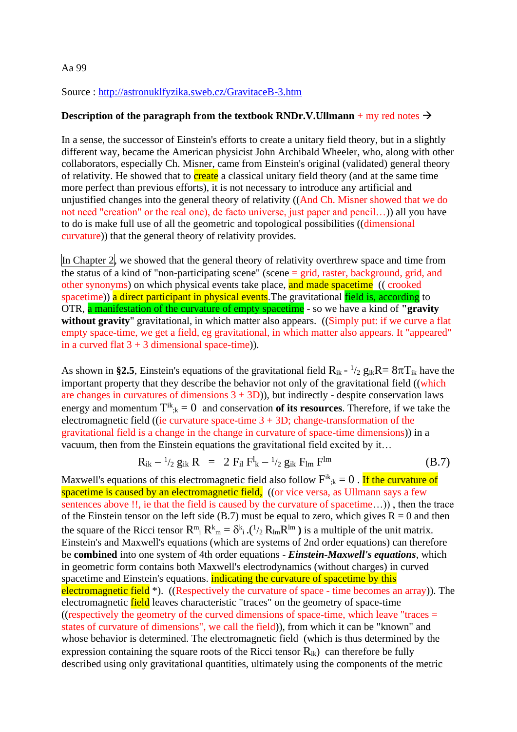## Aa 99

Source :<http://astronuklfyzika.sweb.cz/GravitaceB-3.htm>

## **Description of the paragraph from the textbook RNDr.V.Ullmann** + my red notes  $\rightarrow$

In a sense, the successor of Einstein's efforts to create a unitary field theory, but in a slightly different way, became the American physicist John Archibald Wheeler, who, along with other collaborators, especially Ch. Misner, came from Einstein's original (validated) general theory of relativity. He showed that to **create** a classical unitary field theory (and at the same time more perfect than previous efforts), it is not necessary to introduce any artificial and unjustified changes into the general theory of relativity ((And Ch. Misner showed that we do not need "creation" or the real one), de facto universe, just paper and pencil…)) all you have to do is make full use of all the geometric and topological possibilities ((dimensional curvature)) that the general theory of relativity provides.

In Chapter 2, we showed that the general theory of relativity overthrew space and time from the status of a kind of "non-participating scene" (scene  $=$  grid, raster, background, grid, and other synonyms) on which physical events take place, and made spacetime ((crooked spacetime)) a direct participant in physical events. The gravitational field is, according to OTR, a manifestation of the curvature of empty spacetime - so we have a kind of **"gravity**  without gravity" gravitational, in which matter also appears. ((Simply put: if we curve a flat empty space-time, we get a field, eg gravitational, in which matter also appears. It "appeared" in a curved flat  $3 + 3$  dimensional space-time)).

As shown in §2.5, Einstein's equations of the gravitational field  $R_{ik}$  -  $\frac{1}{2}$   $g_{ik}R = 8\pi T_{ik}$  have the important property that they describe the behavior not only of the gravitational field ((which are changes in curvatures of dimensions  $3 + 3D$ )), but indirectly - despite conservation laws energy and momentum  $T^{ik}_{;k} = 0$  and conservation **of its resources**. Therefore, if we take the electromagnetic field ((ie curvature space-time  $3 + 3D$ ; change-transformation of the gravitational field is a change in the change in curvature of space-time dimensions)) in a vacuum, then from the Einstein equations the gravitational field excited by it…

$$
R_{ik} - \frac{1}{2} g_{ik} R = 2 F_{il} F^l{}_k - \frac{1}{2} g_{ik} F_{lm} F^{lm}
$$
 (B.7)

Maxwell's equations of this electromagnetic field also follow  $F^{ik}_{;k} = 0$  . If the curvature of spacetime is caused by an electromagnetic field. ((or vice versa, as Ullmann says a few sentences above !!, ie that the field is caused by the curvature of spacetime…)) , then the trace of the Einstein tensor on the left side (B.7) must be equal to zero, which gives  $R = 0$  and then the square of the Ricci tensor  $\mathbb{R}^m$ ,  $\mathbb{R}^k$  =  $\delta^k$ ,  $\frac{1}{2}$ ,  $\mathbb{R}^m$ , is a multiple of the unit matrix. Einstein's and Maxwell's equations (which are systems of 2nd order equations) can therefore be **combined** into one system of 4th order equations - *Einstein-Maxwell's equations*, which in geometric form contains both Maxwell's electrodynamics (without charges) in curved spacetime and Einstein's equations. **indicating the curvature of spacetime by this** electromagnetic field  $*$ ). ((Respectively the curvature of space - time becomes an array)). The electromagnetic field leaves characteristic "traces" on the geometry of space-time ((respectively the geometry of the curved dimensions of space-time, which leave "traces  $=$ states of curvature of dimensions", we call the field)), from which it can be "known" and whose behavior is determined. The electromagnetic field (which is thus determined by the expression containing the square roots of the Ricci tensor  $R_{ik}$ ) can therefore be fully described using only gravitational quantities, ultimately using the components of the metric